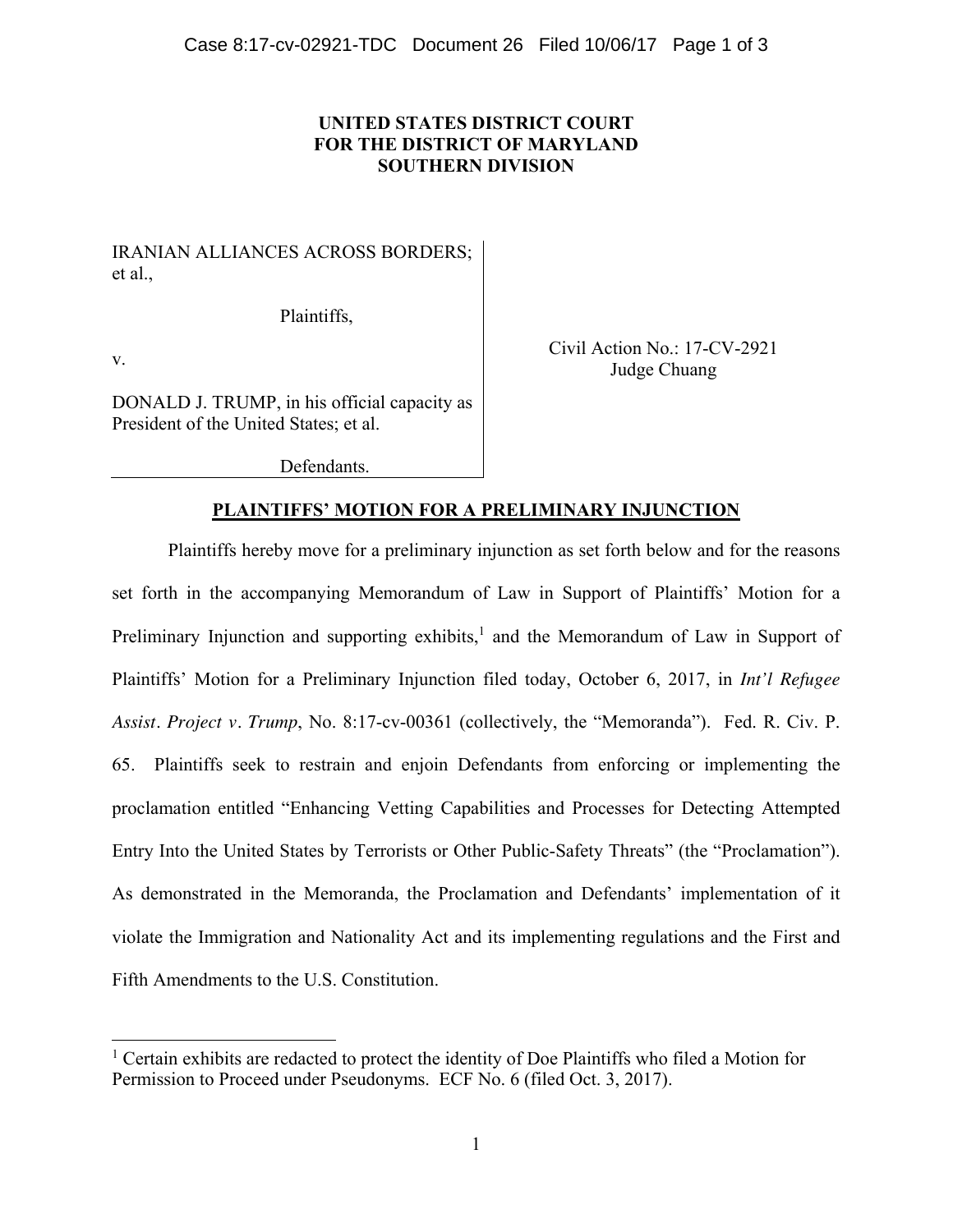## **UNITED STATES DISTRICT COURT FOR THE DISTRICT OF MARYLAND SOUTHERN DIVISION**

IRANIAN ALLIANCES ACROSS BORDERS; et al.,

Plaintiffs,

v.

 $\overline{a}$ 

Civil Action No.: 17-CV-2921 Judge Chuang

DONALD J. TRUMP, in his official capacity as President of the United States; et al.

Defendants.

## **PLAINTIFFS' MOTION FOR A PRELIMINARY INJUNCTION**

Plaintiffs hereby move for a preliminary injunction as set forth below and for the reasons set forth in the accompanying Memorandum of Law in Support of Plaintiffs' Motion for a Preliminary Injunction and supporting exhibits,<sup>1</sup> and the Memorandum of Law in Support of Plaintiffs' Motion for a Preliminary Injunction filed today, October 6, 2017, in *Int'l Refugee Assist. Project v. Trump*, No. 8:17-cv-00361 (collectively, the "Memoranda"). Fed. R. Civ. P. 65. Plaintiffs seek to restrain and enjoin Defendants from enforcing or implementing the proclamation entitled "Enhancing Vetting Capabilities and Processes for Detecting Attempted Entry Into the United States by Terrorists or Other Public-Safety Threats" (the "Proclamation"). As demonstrated in the Memoranda, the Proclamation and Defendants' implementation of it violate the Immigration and Nationality Act and its implementing regulations and the First and Fifth Amendments to the U.S. Constitution.

<sup>&</sup>lt;sup>1</sup> Certain exhibits are redacted to protect the identity of Doe Plaintiffs who filed a Motion for Permission to Proceed under Pseudonyms. ECF No. 6 (filed Oct. 3, 2017).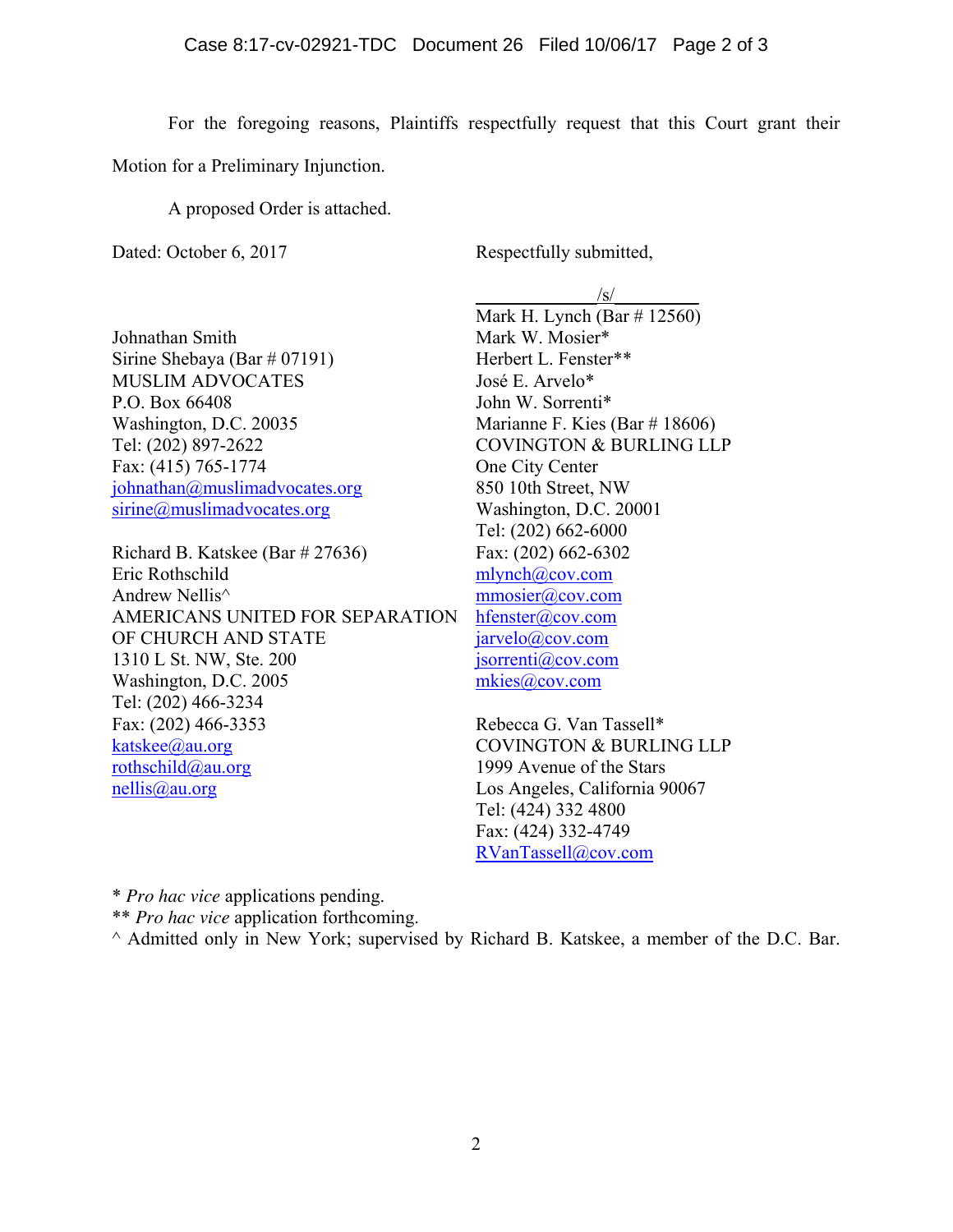For the foregoing reasons, Plaintiffs respectfully request that this Court grant their Motion for a Preliminary Injunction.

A proposed Order is attached.

Dated: October 6, 2017 Respectfully submitted,

Johnathan Smith Sirine Shebaya (Bar # 07191) MUSLIM ADVOCATES P.O. Box 66408 Washington, D.C. 20035 Tel: (202) 897-2622 Fax: (415) 765-1774 johnathan@muslimadvocates.org sirine@muslimadvocates.org

Richard B. Katskee (Bar # 27636) Eric Rothschild Andrew Nellis^ AMERICANS UNITED FOR SEPARATION OF CHURCH AND STATE 1310 L St. NW, Ste. 200 Washington, D.C. 2005 Tel: (202) 466-3234 Fax: (202) 466-3353 katskee@au.org rothschild@au.org nellis@au.org

 $\sqrt{s}$ / Mark H. Lynch (Bar # 12560) Mark W. Mosier\* Herbert L. Fenster\*\* José E. Arvelo\* John W. Sorrenti\* Marianne F. Kies (Bar # 18606) COVINGTON & BURLING LLP One City Center 850 10th Street, NW Washington, D.C. 20001 Tel: (202) 662-6000 Fax: (202) 662-6302 mlynch@cov.com mmosier@cov.com hfenster@cov.com jarvelo@cov.com jsorrenti@cov.com mkies@cov.com

Rebecca G. Van Tassell\* COVINGTON & BURLING LLP 1999 Avenue of the Stars Los Angeles, California 90067 Tel: (424) 332 4800 Fax: (424) 332-4749 RVanTassell@cov.com

\* *Pro hac vice* applications pending.

\*\* *Pro hac vice* application forthcoming.

^ Admitted only in New York; supervised by Richard B. Katskee, a member of the D.C. Bar.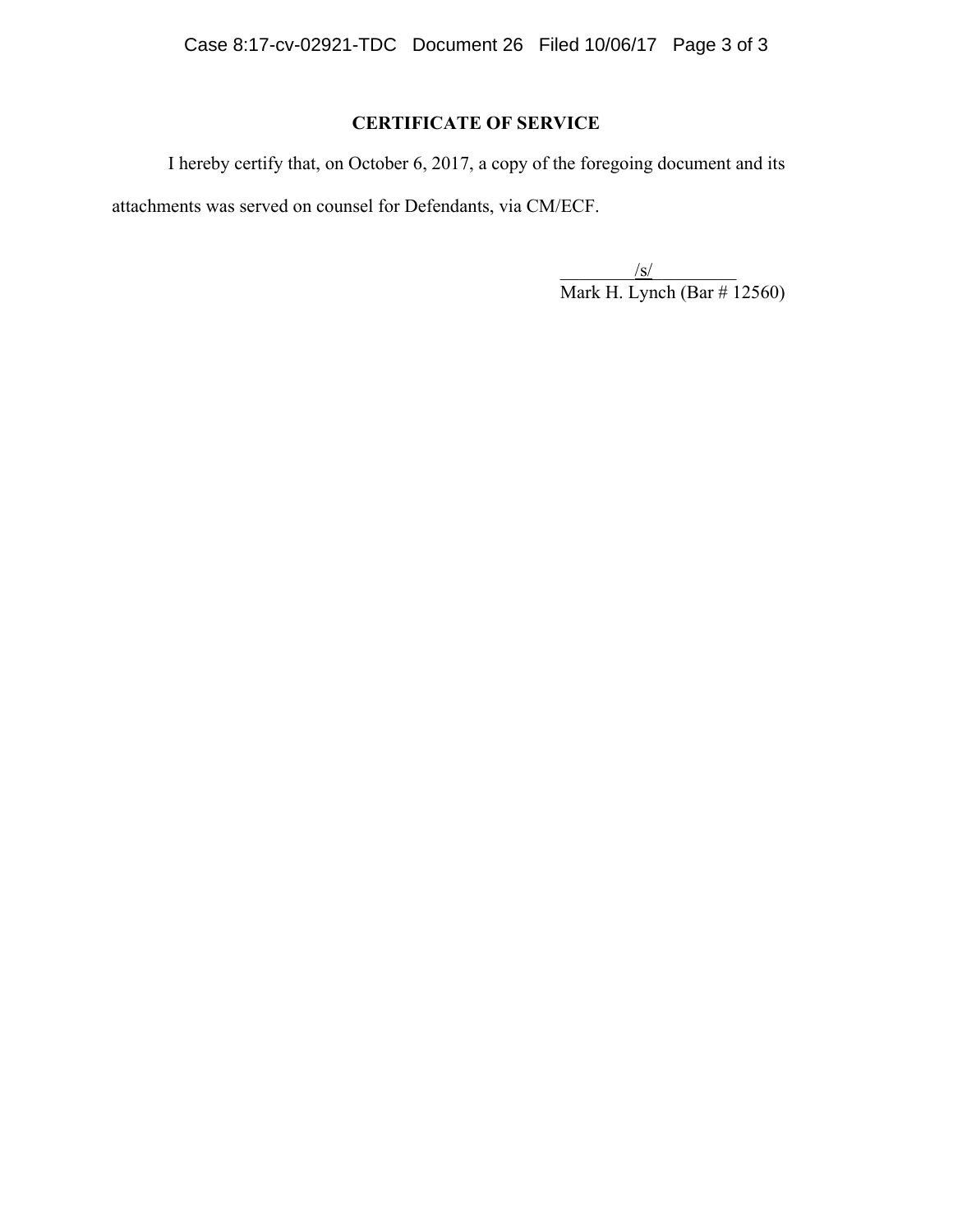# **CERTIFICATE OF SERVICE**

I hereby certify that, on October 6, 2017, a copy of the foregoing document and its attachments was served on counsel for Defendants, via CM/ECF.

 $/\text{s}/\text{s}$ Mark H. Lynch (Bar # 12560)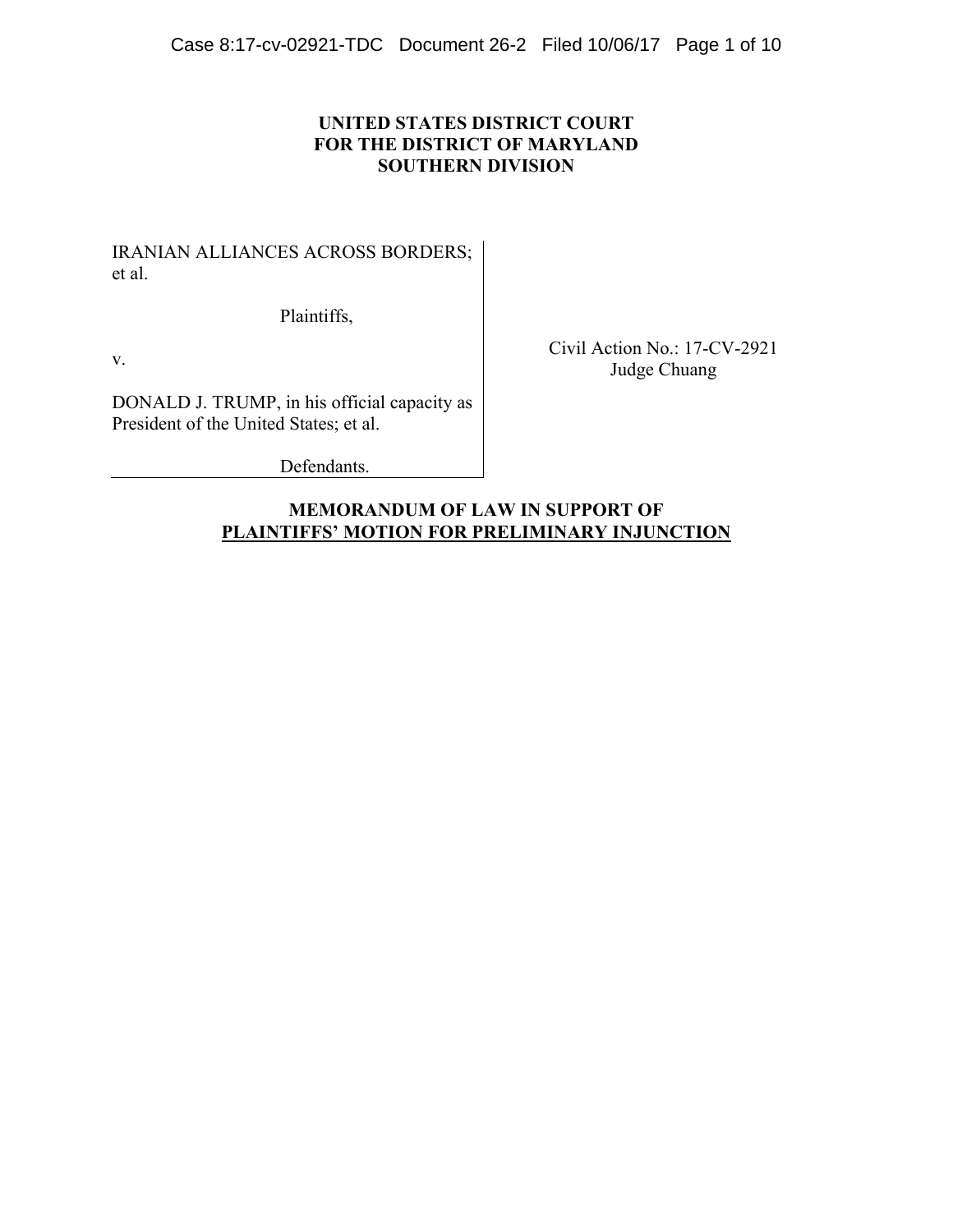## **UNITED STATES DISTRICT COURT FOR THE DISTRICT OF MARYLAND SOUTHERN DIVISION**

IRANIAN ALLIANCES ACROSS BORDERS; et al.

Plaintiffs,

v.

DONALD J. TRUMP, in his official capacity as President of the United States; et al.

Civil Action No.: 17-CV-2921 Judge Chuang

Defendants.

## **MEMORANDUM OF LAW IN SUPPORT OF PLAINTIFFS' MOTION FOR PRELIMINARY INJUNCTION**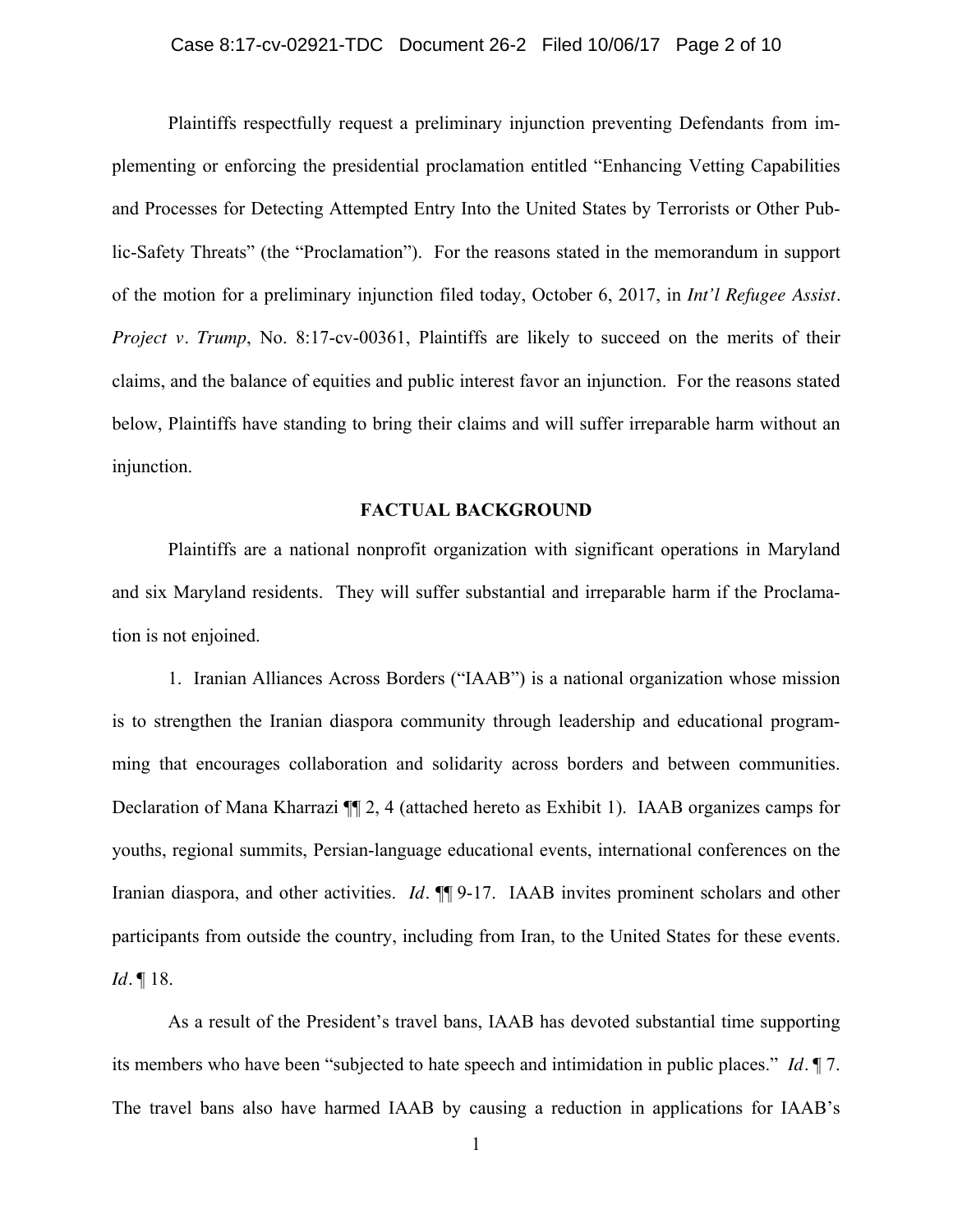Plaintiffs respectfully request a preliminary injunction preventing Defendants from implementing or enforcing the presidential proclamation entitled "Enhancing Vetting Capabilities and Processes for Detecting Attempted Entry Into the United States by Terrorists or Other Public-Safety Threats" (the "Proclamation"). For the reasons stated in the memorandum in support of the motion for a preliminary injunction filed today, October 6, 2017, in *Int'l Refugee Assist. Project v. Trump*, No. 8:17-cv-00361, Plaintiffs are likely to succeed on the merits of their claims, and the balance of equities and public interest favor an injunction. For the reasons stated below, Plaintiffs have standing to bring their claims and will suffer irreparable harm without an injunction.

#### **FACTUAL BACKGROUND**

Plaintiffs are a national nonprofit organization with significant operations in Maryland and six Maryland residents. They will suffer substantial and irreparable harm if the Proclamation is not enjoined.

1. Iranian Alliances Across Borders ("IAAB") is a national organization whose mission is to strengthen the Iranian diaspora community through leadership and educational programming that encourages collaboration and solidarity across borders and between communities. Declaration of Mana Kharrazi ¶¶ 2, 4 (attached hereto as Exhibit 1). IAAB organizes camps for youths, regional summits, Persian-language educational events, international conferences on the Iranian diaspora, and other activities. *Id.* ¶¶ 9-17. IAAB invites prominent scholars and other participants from outside the country, including from Iran, to the United States for these events. *Id.* ¶ 18.

As a result of the President's travel bans, IAAB has devoted substantial time supporting its members who have been "subjected to hate speech and intimidation in public places." *Id.* ¶ 7. The travel bans also have harmed IAAB by causing a reduction in applications for IAAB's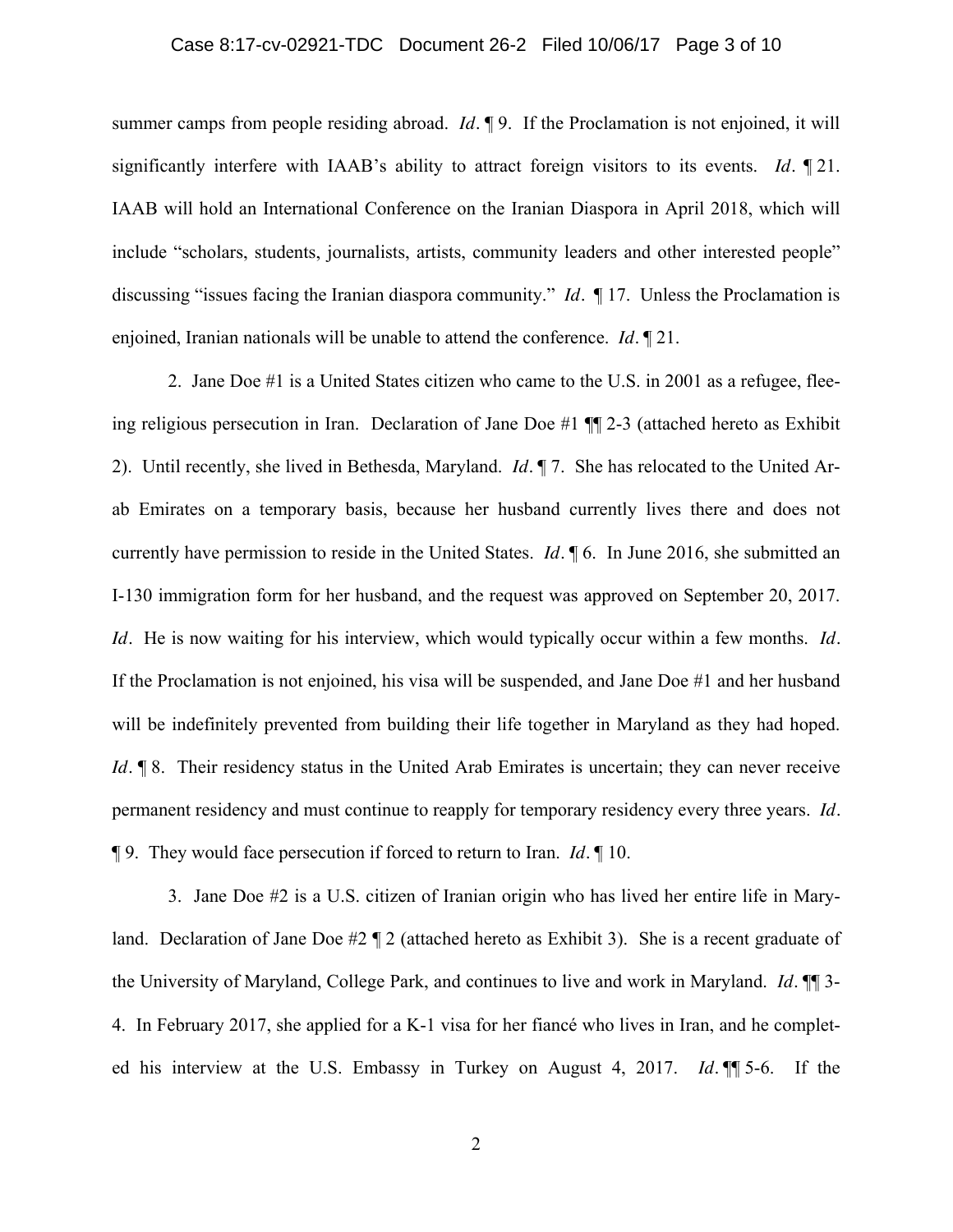#### Case 8:17-cv-02921-TDC Document 26-2 Filed 10/06/17 Page 3 of 10

summer camps from people residing abroad. *Id.* ¶ 9. If the Proclamation is not enjoined, it will significantly interfere with IAAB's ability to attract foreign visitors to its events. *Id.* ¶ 21. IAAB will hold an International Conference on the Iranian Diaspora in April 2018, which will include "scholars, students, journalists, artists, community leaders and other interested people" discussing "issues facing the Iranian diaspora community." *Id.* ¶ 17. Unless the Proclamation is enjoined, Iranian nationals will be unable to attend the conference. *Id.* ¶ 21.

2. Jane Doe #1 is a United States citizen who came to the U.S. in 2001 as a refugee, fleeing religious persecution in Iran. Declaration of Jane Doe #1 ¶¶ 2-3 (attached hereto as Exhibit 2). Until recently, she lived in Bethesda, Maryland. *Id.* ¶ 7. She has relocated to the United Arab Emirates on a temporary basis, because her husband currently lives there and does not currently have permission to reside in the United States. *Id.* ¶ 6. In June 2016, she submitted an I-130 immigration form for her husband, and the request was approved on September 20, 2017. *Id.* He is now waiting for his interview, which would typically occur within a few months. *Id.* If the Proclamation is not enjoined, his visa will be suspended, and Jane Doe #1 and her husband will be indefinitely prevented from building their life together in Maryland as they had hoped. *Id.*  $\parallel$  8. Their residency status in the United Arab Emirates is uncertain; they can never receive permanent residency and must continue to reapply for temporary residency every three years. *Id.* ¶ 9. They would face persecution if forced to return to Iran. *Id.* ¶ 10.

3. Jane Doe #2 is a U.S. citizen of Iranian origin who has lived her entire life in Maryland. Declaration of Jane Doe #2 ¶ 2 (attached hereto as Exhibit 3). She is a recent graduate of the University of Maryland, College Park, and continues to live and work in Maryland. *Id.* ¶¶ 3- 4. In February 2017, she applied for a K-1 visa for her fiancé who lives in Iran, and he completed his interview at the U.S. Embassy in Turkey on August 4, 2017. *Id.* ¶¶ 5-6. If the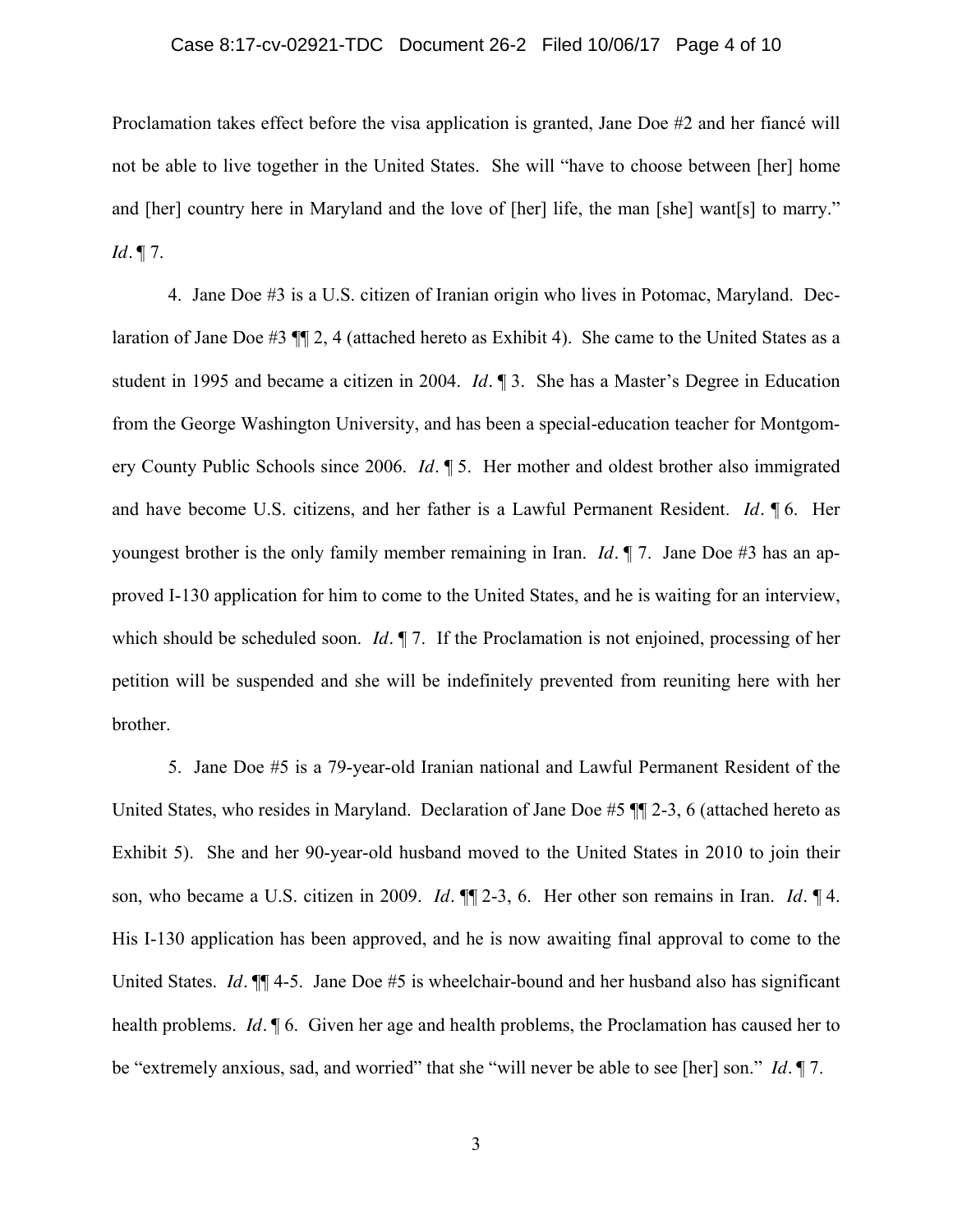#### Case 8:17-cv-02921-TDC Document 26-2 Filed 10/06/17 Page 4 of 10

Proclamation takes effect before the visa application is granted, Jane Doe #2 and her fiancé will not be able to live together in the United States. She will "have to choose between [her] home and [her] country here in Maryland and the love of [her] life, the man [she] want[s] to marry." *Id.* ¶ 7.

4. Jane Doe #3 is a U.S. citizen of Iranian origin who lives in Potomac, Maryland. Declaration of Jane Doe #3 ¶¶ 2, 4 (attached hereto as Exhibit 4). She came to the United States as a student in 1995 and became a citizen in 2004. *Id.* ¶ 3. She has a Master's Degree in Education from the George Washington University, and has been a special-education teacher for Montgomery County Public Schools since 2006. *Id.* ¶ 5. Her mother and oldest brother also immigrated and have become U.S. citizens, and her father is a Lawful Permanent Resident. *Id.* ¶ 6. Her youngest brother is the only family member remaining in Iran. *Id.* ¶ 7. Jane Doe #3 has an approved I-130 application for him to come to the United States, and he is waiting for an interview, which should be scheduled soon. *Id.* ¶ 7. If the Proclamation is not enjoined, processing of her petition will be suspended and she will be indefinitely prevented from reuniting here with her brother.

5. Jane Doe #5 is a 79-year-old Iranian national and Lawful Permanent Resident of the United States, who resides in Maryland. Declaration of Jane Doe #5 ¶¶ 2-3, 6 (attached hereto as Exhibit 5). She and her 90-year-old husband moved to the United States in 2010 to join their son, who became a U.S. citizen in 2009. *Id.* ¶¶ 2-3, 6. Her other son remains in Iran. *Id.* ¶ 4. His I-130 application has been approved, and he is now awaiting final approval to come to the United States. *Id.*  $\P$  4-5. Jane Doe #5 is wheelchair-bound and her husband also has significant health problems. *Id.* ¶ 6. Given her age and health problems, the Proclamation has caused her to be "extremely anxious, sad, and worried" that she "will never be able to see [her] son." *Id.* ¶ 7.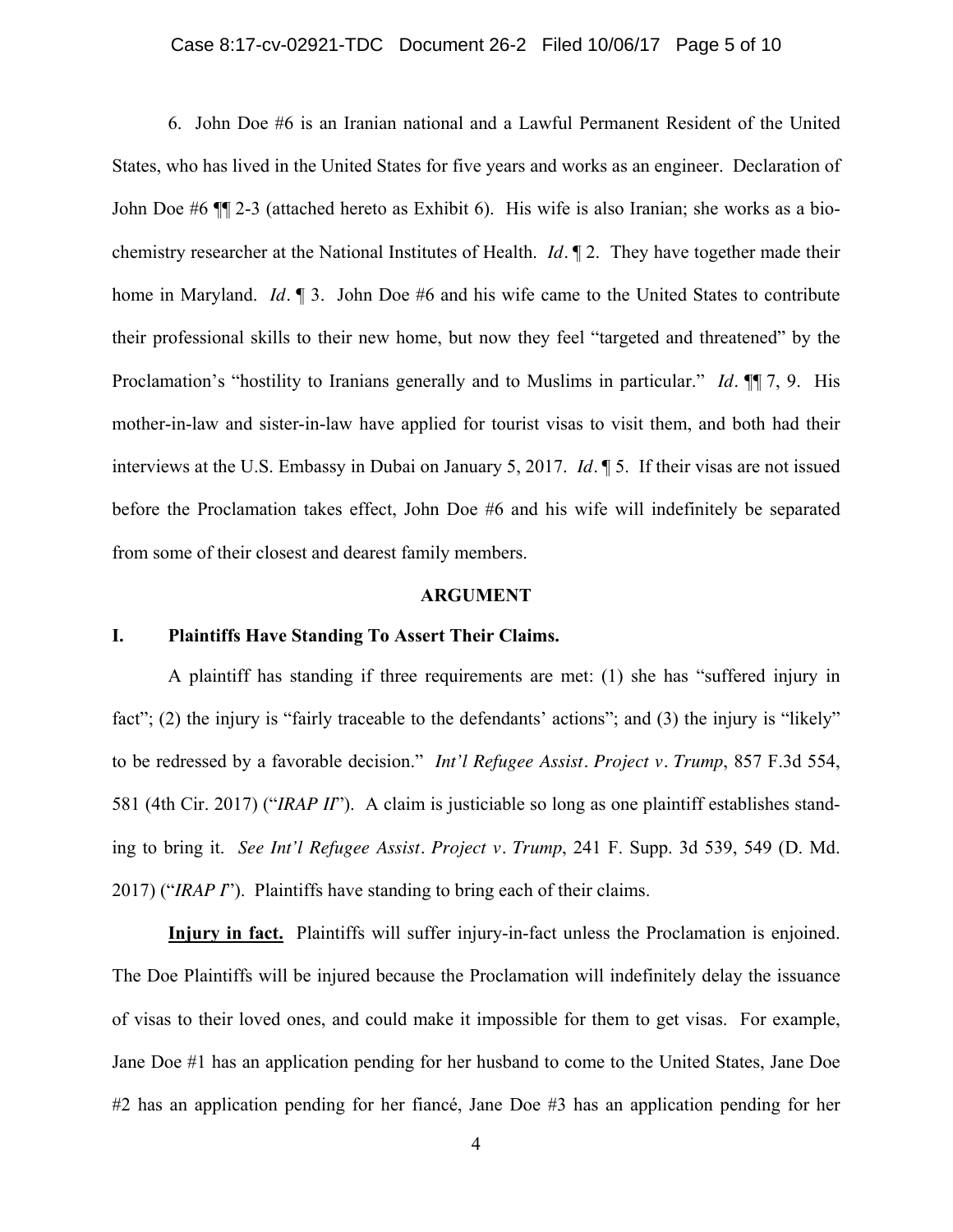## Case 8:17-cv-02921-TDC Document 26-2 Filed 10/06/17 Page 5 of 10

6. John Doe #6 is an Iranian national and a Lawful Permanent Resident of the United States, who has lived in the United States for five years and works as an engineer. Declaration of John Doe #6 ¶¶ 2-3 (attached hereto as Exhibit 6). His wife is also Iranian; she works as a biochemistry researcher at the National Institutes of Health. *Id.* ¶ 2. They have together made their home in Maryland. *Id.* **[100]** 3. John Doe #6 and his wife came to the United States to contribute their professional skills to their new home, but now they feel "targeted and threatened" by the Proclamation's "hostility to Iranians generally and to Muslims in particular." *Id.* ¶¶ 7, 9. His mother-in-law and sister-in-law have applied for tourist visas to visit them, and both had their interviews at the U.S. Embassy in Dubai on January 5, 2017. *Id.* ¶ 5. If their visas are not issued before the Proclamation takes effect, John Doe #6 and his wife will indefinitely be separated from some of their closest and dearest family members.

#### **ARGUMENT**

### **I. Plaintiffs Have Standing To Assert Their Claims.**

A plaintiff has standing if three requirements are met: (1) she has "suffered injury in fact"; (2) the injury is "fairly traceable to the defendants' actions"; and (3) the injury is "likely" to be redressed by a favorable decision." *Int'l Refugee Assist. Project v. Trump*, 857 F.3d 554, 581 (4th Cir. 2017) ("*IRAP II*"). A claim is justiciable so long as one plaintiff establishes standing to bring it. *See Int'l Refugee Assist. Project v. Trump*, 241 F. Supp. 3d 539, 549 (D. Md. 2017) ("*IRAP I*"). Plaintiffs have standing to bring each of their claims.

**Injury in fact.** Plaintiffs will suffer injury-in-fact unless the Proclamation is enjoined. The Doe Plaintiffs will be injured because the Proclamation will indefinitely delay the issuance of visas to their loved ones, and could make it impossible for them to get visas. For example, Jane Doe #1 has an application pending for her husband to come to the United States, Jane Doe #2 has an application pending for her fiancé, Jane Doe #3 has an application pending for her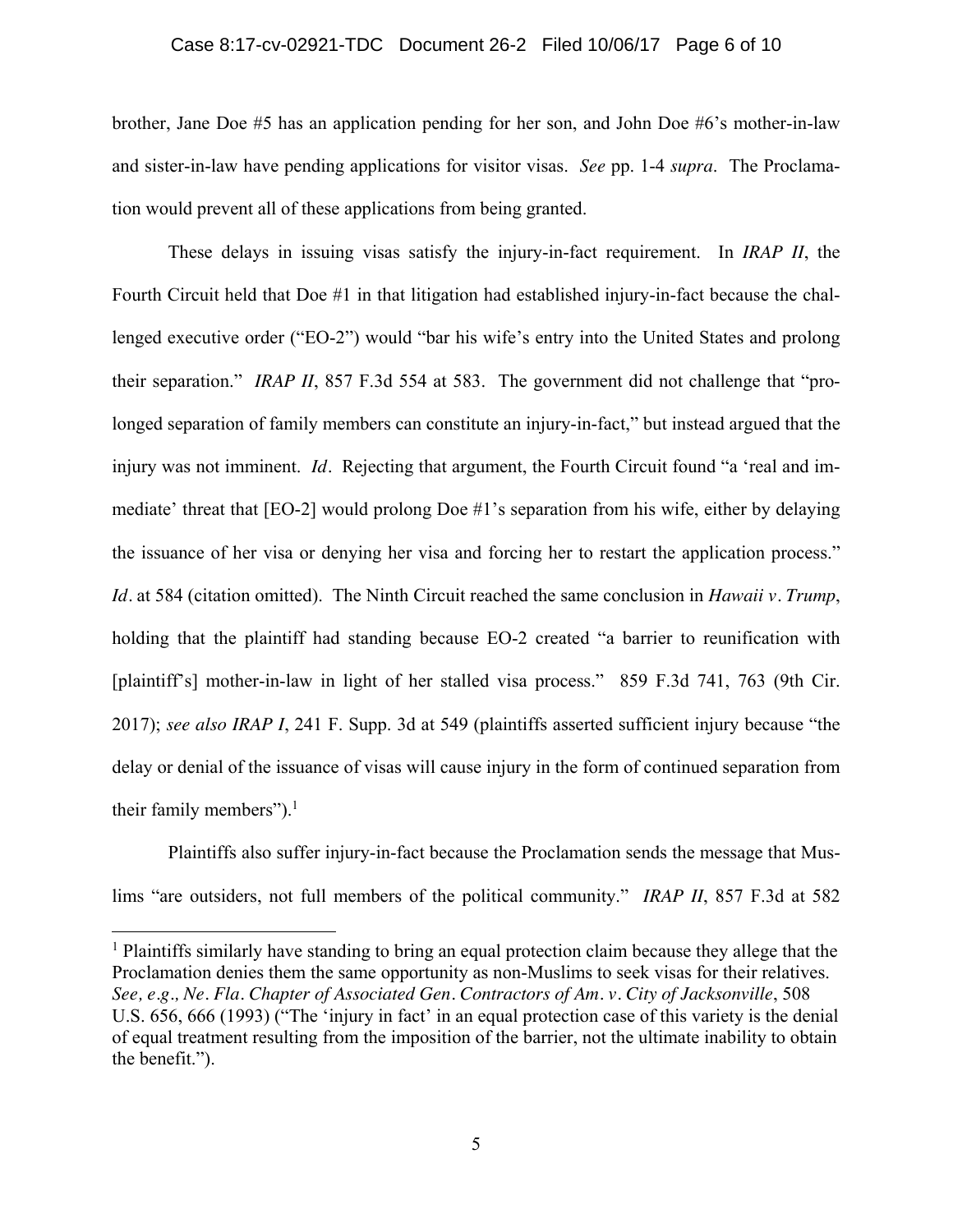#### Case 8:17-cv-02921-TDC Document 26-2 Filed 10/06/17 Page 6 of 10

brother, Jane Doe #5 has an application pending for her son, and John Doe #6's mother-in-law and sister-in-law have pending applications for visitor visas. *See* pp. 1-4 *supra*. The Proclamation would prevent all of these applications from being granted.

These delays in issuing visas satisfy the injury-in-fact requirement. In *IRAP II*, the Fourth Circuit held that Doe #1 in that litigation had established injury-in-fact because the challenged executive order ("EO-2") would "bar his wife's entry into the United States and prolong their separation." *IRAP II*, 857 F.3d 554 at 583. The government did not challenge that "prolonged separation of family members can constitute an injury-in-fact," but instead argued that the injury was not imminent. *Id.* Rejecting that argument, the Fourth Circuit found "a 'real and immediate' threat that [EO-2] would prolong Doe #1's separation from his wife, either by delaying the issuance of her visa or denying her visa and forcing her to restart the application process." *Id.* at 584 (citation omitted). The Ninth Circuit reached the same conclusion in *Hawaii v. Trump*, holding that the plaintiff had standing because EO-2 created "a barrier to reunification with [plaintiff's] mother-in-law in light of her stalled visa process." 859 F.3d 741, 763 (9th Cir. 2017); *see also IRAP I*, 241 F. Supp. 3d at 549 (plaintiffs asserted sufficient injury because "the delay or denial of the issuance of visas will cause injury in the form of continued separation from their family members"). $<sup>1</sup>$ </sup>

Plaintiffs also suffer injury-in-fact because the Proclamation sends the message that Muslims "are outsiders, not full members of the political community." *IRAP II*, 857 F.3d at 582

 $\overline{a}$ 

<sup>1</sup> Plaintiffs similarly have standing to bring an equal protection claim because they allege that the Proclamation denies them the same opportunity as non-Muslims to seek visas for their relatives. *See, e.g., Ne. Fla. Chapter of Associated Gen. Contractors of Am. v. City of Jacksonville*, 508 U.S. 656, 666 (1993) ("The 'injury in fact' in an equal protection case of this variety is the denial of equal treatment resulting from the imposition of the barrier, not the ultimate inability to obtain the benefit.").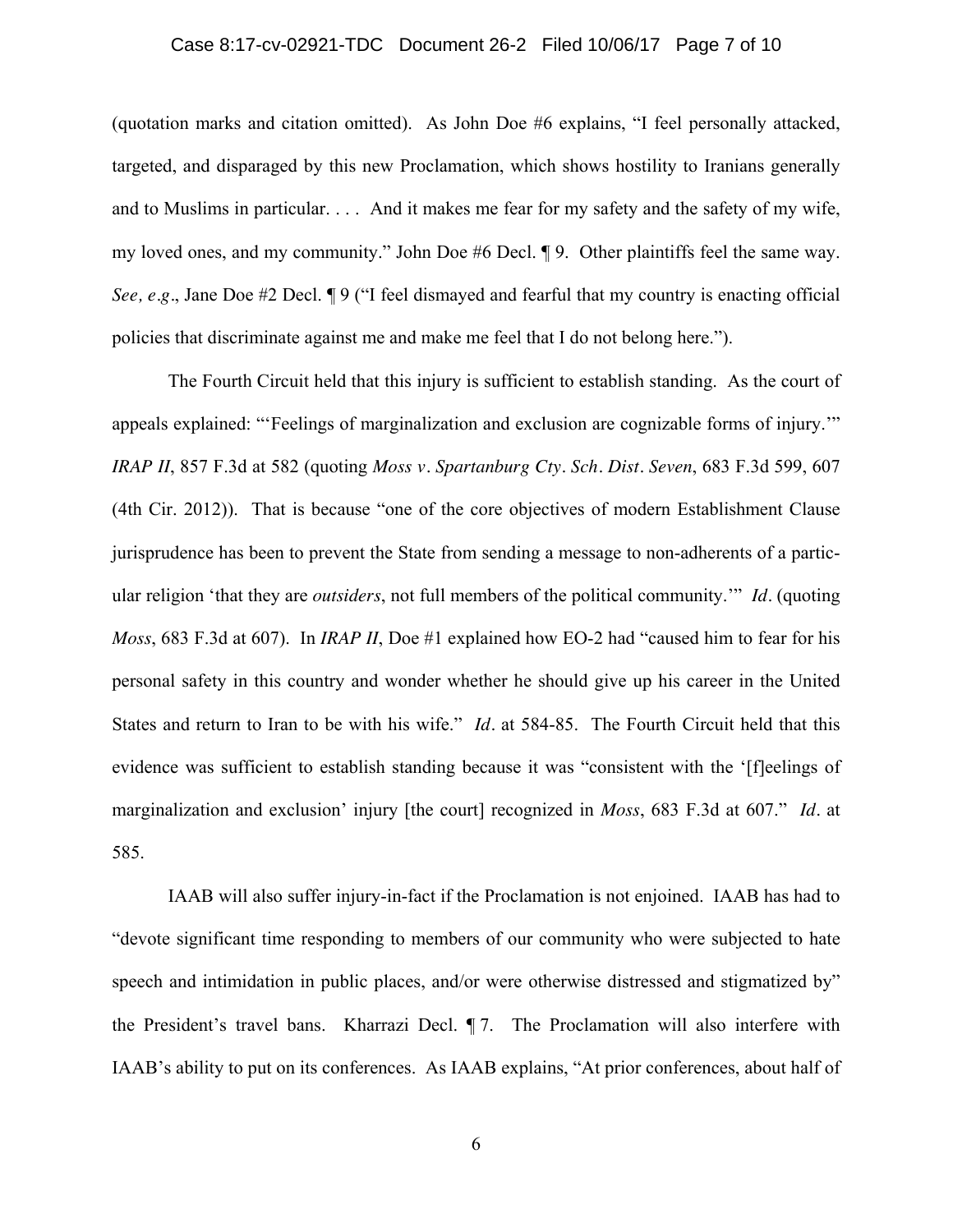## Case 8:17-cv-02921-TDC Document 26-2 Filed 10/06/17 Page 7 of 10

(quotation marks and citation omitted). As John Doe #6 explains, "I feel personally attacked, targeted, and disparaged by this new Proclamation, which shows hostility to Iranians generally and to Muslims in particular. . . . And it makes me fear for my safety and the safety of my wife, my loved ones, and my community." John Doe #6 Decl. ¶ 9. Other plaintiffs feel the same way. *See, e.g.*, Jane Doe #2 Decl. ¶ 9 ("I feel dismayed and fearful that my country is enacting official policies that discriminate against me and make me feel that I do not belong here.").

The Fourth Circuit held that this injury is sufficient to establish standing. As the court of appeals explained: "'Feelings of marginalization and exclusion are cognizable forms of injury.'" *IRAP II*, 857 F.3d at 582 (quoting *Moss v. Spartanburg Cty. Sch. Dist. Seven*, 683 F.3d 599, 607 (4th Cir. 2012)). That is because "one of the core objectives of modern Establishment Clause jurisprudence has been to prevent the State from sending a message to non-adherents of a particular religion 'that they are *outsiders*, not full members of the political community.'" *Id.* (quoting *Moss*, 683 F.3d at 607). In *IRAP II*, Doe #1 explained how EO-2 had "caused him to fear for his personal safety in this country and wonder whether he should give up his career in the United States and return to Iran to be with his wife." *Id.* at 584-85. The Fourth Circuit held that this evidence was sufficient to establish standing because it was "consistent with the '[f]eelings of marginalization and exclusion' injury [the court] recognized in *Moss*, 683 F.3d at 607." *Id.* at 585.

IAAB will also suffer injury-in-fact if the Proclamation is not enjoined. IAAB has had to "devote significant time responding to members of our community who were subjected to hate speech and intimidation in public places, and/or were otherwise distressed and stigmatized by" the President's travel bans. Kharrazi Decl. ¶ 7. The Proclamation will also interfere with IAAB's ability to put on its conferences. As IAAB explains, "At prior conferences, about half of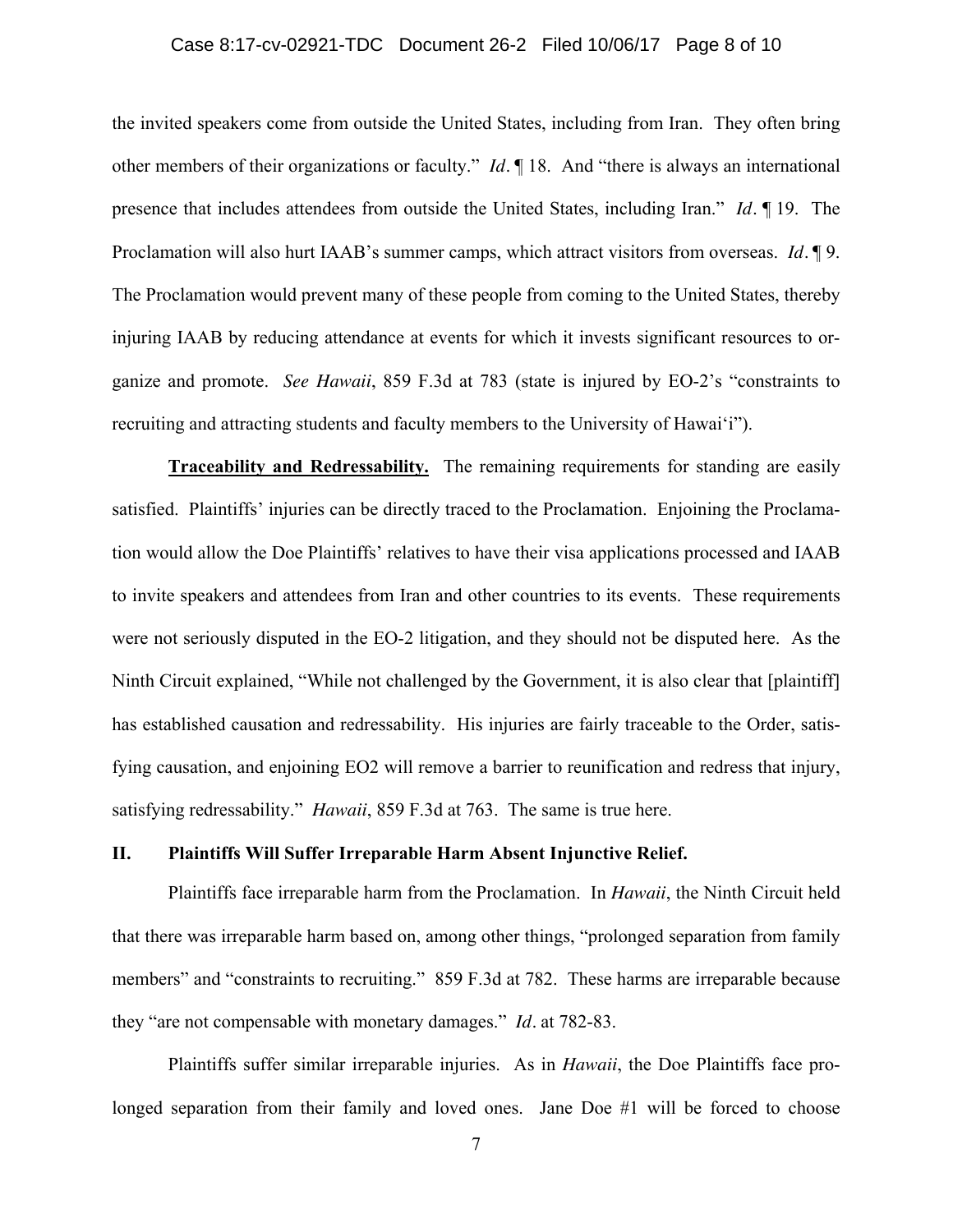## Case 8:17-cv-02921-TDC Document 26-2 Filed 10/06/17 Page 8 of 10

the invited speakers come from outside the United States, including from Iran. They often bring other members of their organizations or faculty." *Id.* ¶ 18. And "there is always an international presence that includes attendees from outside the United States, including Iran." *Id.* ¶ 19. The Proclamation will also hurt IAAB's summer camps, which attract visitors from overseas. *Id.* ¶ 9. The Proclamation would prevent many of these people from coming to the United States, thereby injuring IAAB by reducing attendance at events for which it invests significant resources to organize and promote. *See Hawaii*, 859 F.3d at 783 (state is injured by EO-2's "constraints to recruiting and attracting students and faculty members to the University of Hawai'i").

**Traceability and Redressability.** The remaining requirements for standing are easily satisfied. Plaintiffs' injuries can be directly traced to the Proclamation. Enjoining the Proclamation would allow the Doe Plaintiffs' relatives to have their visa applications processed and IAAB to invite speakers and attendees from Iran and other countries to its events. These requirements were not seriously disputed in the EO-2 litigation, and they should not be disputed here. As the Ninth Circuit explained, "While not challenged by the Government, it is also clear that [plaintiff] has established causation and redressability. His injuries are fairly traceable to the Order, satisfying causation, and enjoining EO2 will remove a barrier to reunification and redress that injury, satisfying redressability." *Hawaii*, 859 F.3d at 763. The same is true here.

#### **II. Plaintiffs Will Suffer Irreparable Harm Absent Injunctive Relief.**

Plaintiffs face irreparable harm from the Proclamation. In *Hawaii*, the Ninth Circuit held that there was irreparable harm based on, among other things, "prolonged separation from family members" and "constraints to recruiting." 859 F.3d at 782. These harms are irreparable because they "are not compensable with monetary damages." *Id.* at 782-83.

Plaintiffs suffer similar irreparable injuries. As in *Hawaii*, the Doe Plaintiffs face prolonged separation from their family and loved ones. Jane Doe #1 will be forced to choose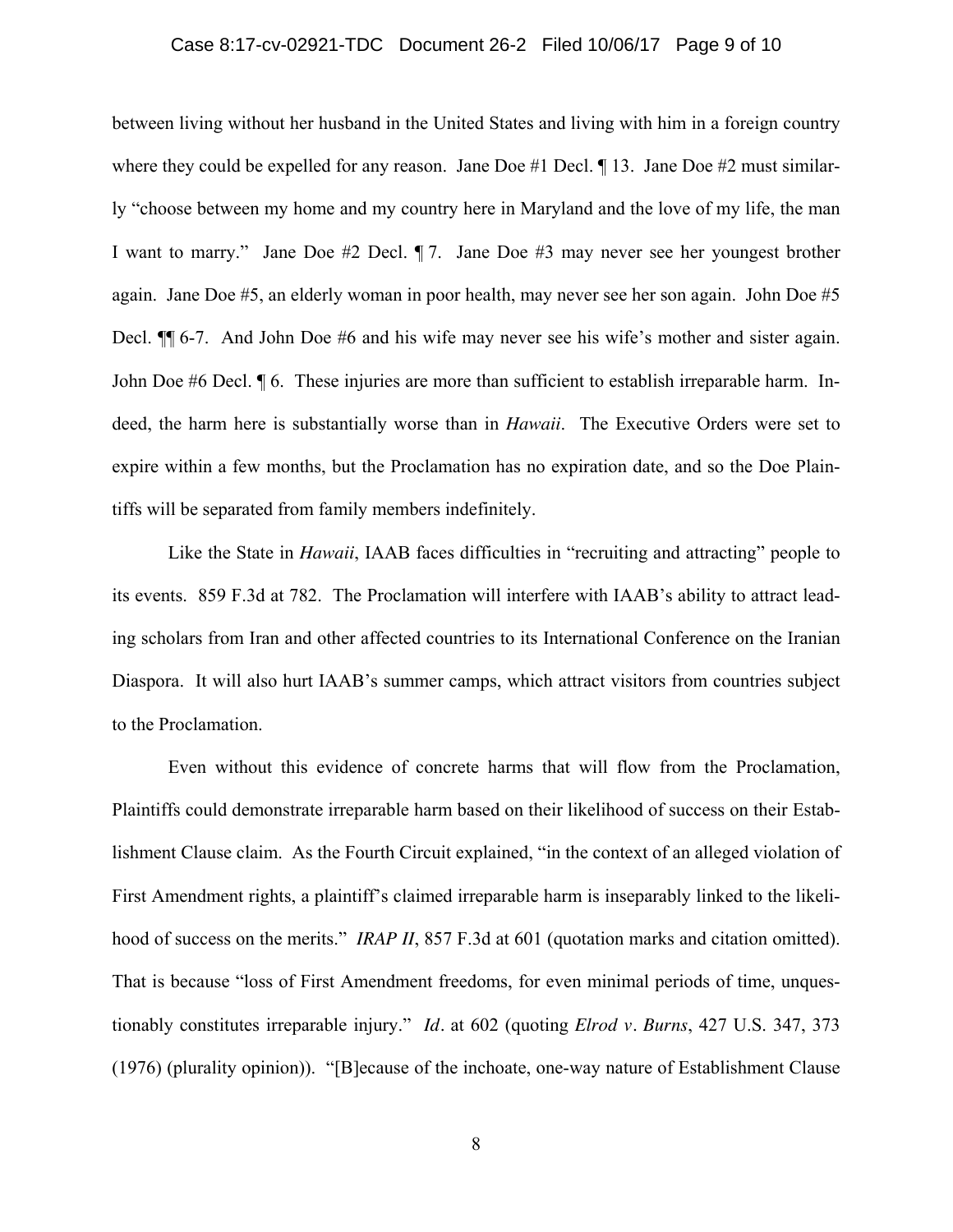## Case 8:17-cv-02921-TDC Document 26-2 Filed 10/06/17 Page 9 of 10

between living without her husband in the United States and living with him in a foreign country where they could be expelled for any reason. Jane Doe #1 Decl.  $\P$  13. Jane Doe #2 must similarly "choose between my home and my country here in Maryland and the love of my life, the man I want to marry." Jane Doe #2 Decl. ¶ 7. Jane Doe #3 may never see her youngest brother again. Jane Doe #5, an elderly woman in poor health, may never see her son again. John Doe #5 Decl. ¶¶ 6-7. And John Doe #6 and his wife may never see his wife's mother and sister again. John Doe #6 Decl. ¶ 6. These injuries are more than sufficient to establish irreparable harm. Indeed, the harm here is substantially worse than in *Hawaii*. The Executive Orders were set to expire within a few months, but the Proclamation has no expiration date, and so the Doe Plaintiffs will be separated from family members indefinitely.

Like the State in *Hawaii*, IAAB faces difficulties in "recruiting and attracting" people to its events. 859 F.3d at 782. The Proclamation will interfere with IAAB's ability to attract leading scholars from Iran and other affected countries to its International Conference on the Iranian Diaspora. It will also hurt IAAB's summer camps, which attract visitors from countries subject to the Proclamation.

Even without this evidence of concrete harms that will flow from the Proclamation, Plaintiffs could demonstrate irreparable harm based on their likelihood of success on their Establishment Clause claim. As the Fourth Circuit explained, "in the context of an alleged violation of First Amendment rights, a plaintiff's claimed irreparable harm is inseparably linked to the likelihood of success on the merits." *IRAP II*, 857 F.3d at 601 (quotation marks and citation omitted). That is because "loss of First Amendment freedoms, for even minimal periods of time, unquestionably constitutes irreparable injury." *Id.* at 602 (quoting *Elrod v. Burns*, 427 U.S. 347, 373 (1976) (plurality opinion)). "[B]ecause of the inchoate, one-way nature of Establishment Clause